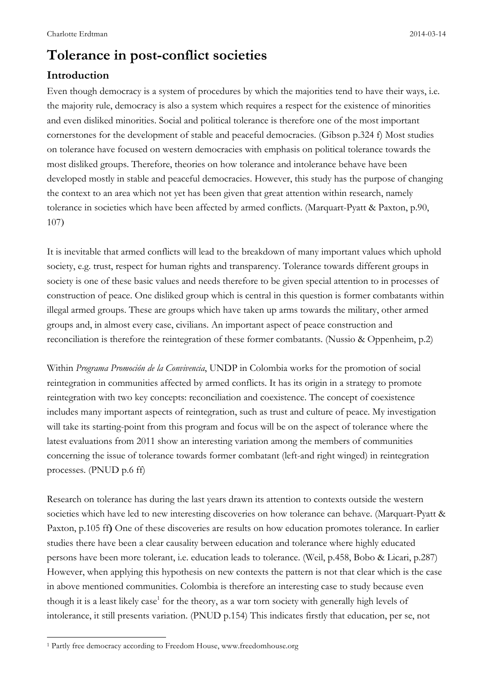# **Tolerance in post-conflict societies**

# **Introduction**

Even though democracy is a system of procedures by which the majorities tend to have their ways, i.e. the majority rule, democracy is also a system which requires a respect for the existence of minorities and even disliked minorities. Social and political tolerance is therefore one of the most important cornerstones for the development of stable and peaceful democracies. (Gibson p.324 f) Most studies on tolerance have focused on western democracies with emphasis on political tolerance towards the most disliked groups. Therefore, theories on how tolerance and intolerance behave have been developed mostly in stable and peaceful democracies. However, this study has the purpose of changing the context to an area which not yet has been given that great attention within research, namely tolerance in societies which have been affected by armed conflicts. (Marquart-Pyatt & Paxton, p.90, 107)

It is inevitable that armed conflicts will lead to the breakdown of many important values which uphold society, e.g. trust, respect for human rights and transparency. Tolerance towards different groups in society is one of these basic values and needs therefore to be given special attention to in processes of construction of peace. One disliked group which is central in this question is former combatants within illegal armed groups. These are groups which have taken up arms towards the military, other armed groups and, in almost every case, civilians. An important aspect of peace construction and reconciliation is therefore the reintegration of these former combatants. (Nussio & Oppenheim, p.2)

Within *Programa Promoción de la Convivencia*, UNDP in Colombia works for the promotion of social reintegration in communities affected by armed conflicts. It has its origin in a strategy to promote reintegration with two key concepts: reconciliation and coexistence. The concept of coexistence includes many important aspects of reintegration, such as trust and culture of peace. My investigation will take its starting-point from this program and focus will be on the aspect of tolerance where the latest evaluations from 2011 show an interesting variation among the members of communities concerning the issue of tolerance towards former combatant (left-and right winged) in reintegration processes. (PNUD p.6 ff)

Research on tolerance has during the last years drawn its attention to contexts outside the western societies which have led to new interesting discoveries on how tolerance can behave. (Marquart-Pyatt & Paxton, p.105 ff**)** One of these discoveries are results on how education promotes tolerance. In earlier studies there have been a clear causality between education and tolerance where highly educated persons have been more tolerant, i.e. education leads to tolerance. (Weil, p.458, Bobo & Licari, p.287) However, when applying this hypothesis on new contexts the pattern is not that clear which is the case in above mentioned communities. Colombia is therefore an interesting case to study because even though it is a least likely case<sup>1</sup> for the theory, as a war torn society with generally high levels of intolerance, it still presents variation. (PNUD p.154) This indicates firstly that education, per se, not

 $\overline{a}$ 

<sup>1</sup> Partly free democracy according to Freedom House, www.freedomhouse.org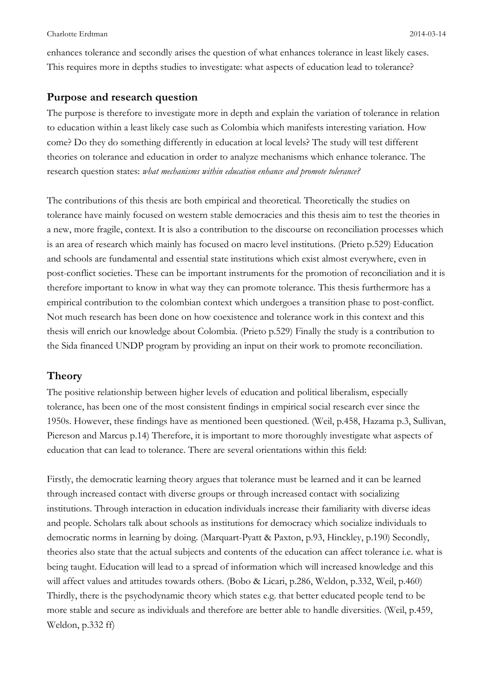enhances tolerance and secondly arises the question of what enhances tolerance in least likely cases. This requires more in depths studies to investigate: what aspects of education lead to tolerance?

#### **Purpose and research question**

The purpose is therefore to investigate more in depth and explain the variation of tolerance in relation to education within a least likely case such as Colombia which manifests interesting variation. How come? Do they do something differently in education at local levels? The study will test different theories on tolerance and education in order to analyze mechanisms which enhance tolerance. The research question states: *what mechanisms within education enhance and promote tolerance?* 

The contributions of this thesis are both empirical and theoretical. Theoretically the studies on tolerance have mainly focused on western stable democracies and this thesis aim to test the theories in a new, more fragile, context. It is also a contribution to the discourse on reconciliation processes which is an area of research which mainly has focused on macro level institutions. (Prieto p.529) Education and schools are fundamental and essential state institutions which exist almost everywhere, even in post-conflict societies. These can be important instruments for the promotion of reconciliation and it is therefore important to know in what way they can promote tolerance. This thesis furthermore has a empirical contribution to the colombian context which undergoes a transition phase to post-conflict. Not much research has been done on how coexistence and tolerance work in this context and this thesis will enrich our knowledge about Colombia. (Prieto p.529) Finally the study is a contribution to the Sida financed UNDP program by providing an input on their work to promote reconciliation.

### **Theory**

The positive relationship between higher levels of education and political liberalism, especially tolerance, has been one of the most consistent findings in empirical social research ever since the 1950s. However, these findings have as mentioned been questioned. (Weil, p.458, Hazama p.3, Sullivan, Piereson and Marcus p.14) Therefore, it is important to more thoroughly investigate what aspects of education that can lead to tolerance. There are several orientations within this field:

Firstly, the democratic learning theory argues that tolerance must be learned and it can be learned through increased contact with diverse groups or through increased contact with socializing institutions. Through interaction in education individuals increase their familiarity with diverse ideas and people. Scholars talk about schools as institutions for democracy which socialize individuals to democratic norms in learning by doing. (Marquart-Pyatt & Paxton, p.93, Hinckley, p.190) Secondly, theories also state that the actual subjects and contents of the education can affect tolerance i.e. what is being taught. Education will lead to a spread of information which will increased knowledge and this will affect values and attitudes towards others. (Bobo & Licari, p.286, Weldon, p.332, Weil, p.460) Thirdly, there is the psychodynamic theory which states e.g. that better educated people tend to be more stable and secure as individuals and therefore are better able to handle diversities. (Weil, p.459, Weldon, p.332 ff)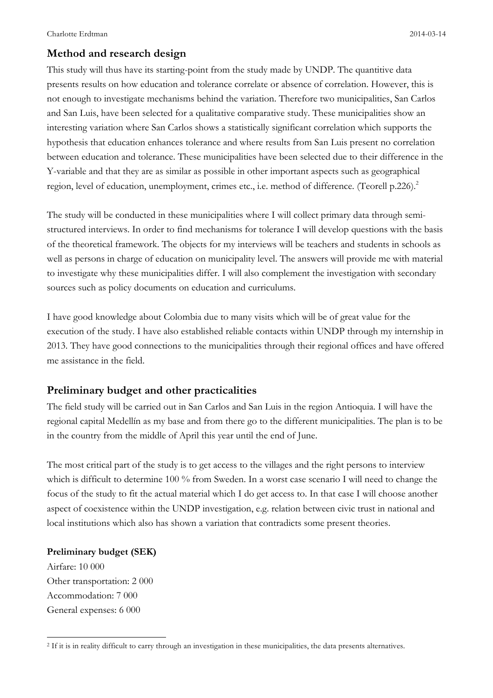### **Method and research design**

This study will thus have its starting-point from the study made by UNDP. The quantitive data presents results on how education and tolerance correlate or absence of correlation. However, this is not enough to investigate mechanisms behind the variation. Therefore two municipalities, San Carlos and San Luis, have been selected for a qualitative comparative study. These municipalities show an interesting variation where San Carlos shows a statistically significant correlation which supports the hypothesis that education enhances tolerance and where results from San Luis present no correlation between education and tolerance. These municipalities have been selected due to their difference in the Y-variable and that they are as similar as possible in other important aspects such as geographical region, level of education, unemployment, crimes etc., i.e. method of difference. (Teorell p.226).<sup>2</sup>

The study will be conducted in these municipalities where I will collect primary data through semistructured interviews. In order to find mechanisms for tolerance I will develop questions with the basis of the theoretical framework. The objects for my interviews will be teachers and students in schools as well as persons in charge of education on municipality level. The answers will provide me with material to investigate why these municipalities differ. I will also complement the investigation with secondary sources such as policy documents on education and curriculums.

I have good knowledge about Colombia due to many visits which will be of great value for the execution of the study. I have also established reliable contacts within UNDP through my internship in 2013. They have good connections to the municipalities through their regional offices and have offered me assistance in the field.

#### **Preliminary budget and other practicalities**

The field study will be carried out in San Carlos and San Luis in the region Antioquia. I will have the regional capital Medellín as my base and from there go to the different municipalities. The plan is to be in the country from the middle of April this year until the end of June.

The most critical part of the study is to get access to the villages and the right persons to interview which is difficult to determine 100 % from Sweden. In a worst case scenario I will need to change the focus of the study to fit the actual material which I do get access to. In that case I will choose another aspect of coexistence within the UNDP investigation, e.g. relation between civic trust in national and local institutions which also has shown a variation that contradicts some present theories.

#### **Preliminary budget (SEK)**

Airfare: 10 000 Other transportation: 2 000 Accommodation: 7 000 General expenses: 6 000

 $\overline{a}$ 

<sup>2</sup> If it is in reality difficult to carry through an investigation in these municipalities, the data presents alternatives.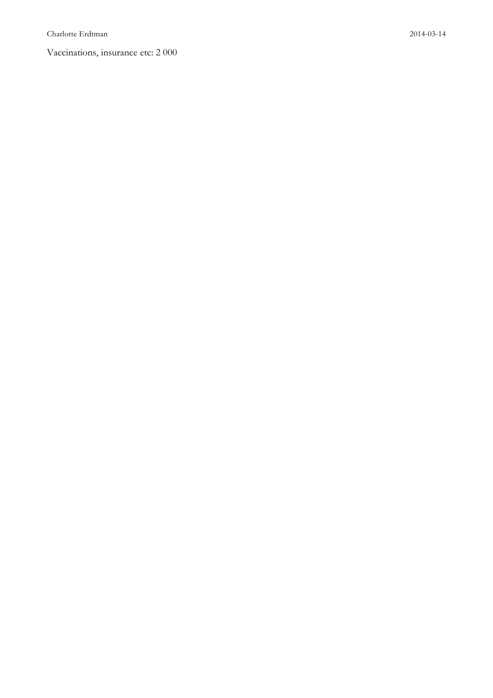Vaccinations, insurance etc: 2 000